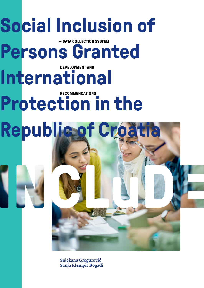# **Social Inclusion of**

**Persons Granted DEVELOPMENT AND**

**International** 

### **Protection in the RECOMMENDATIONS**



**Snježana Gregurović Sanja Klempić Bogadi**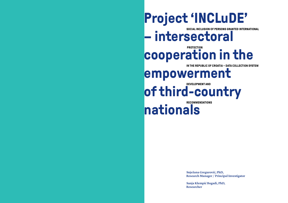### **Project 'INCLuDE'**

**SOCIAL INCLUSION OF PERSONS GRANTED INTERNATIONAL**

**– intersectoral** 

### **PROTECTION cooperation in the**

**IN THE REPUBLIC OF CROATIA – DATA COLLECTION SYSTEM** 

### **empowerment**

**DEVELOPMENT AND of third-country** 

**RECOMMENDATIONS**

**nationals**

**Snježana Gregurović, PhD, Research Manager / Principal Investigator**

**Sanja Klempić Bogadi, PhD, Researcher**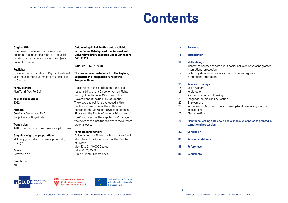**001132279.**

**European Union.**

are employed.

of Croatia

**For more information:**

Mesnička 23, 10 000 Zagreb Tel: +385 (1) 4569 358 E-mail: ured@uljppnm.gov.hr

**ISBN: 978-953-7870-34-8**

**Cataloguing-in Publication data available in the Online Catalogue of the National and University Library in Zagreb under CIP record** 

**The project was co-financed by the Asylum, Migration and Integration Fund of the** 

The content of this publication is the sole responsibility of the Office for Human Rights and Rights of National Minorities of the Government of the Republic of Croatia. The views and opinions expressed in this publication are those of the author and do not reflect the views of the Office for Human Rights and the Rights of National Minorities of the Government of the Republic of Croatia, nor the views of the institutions where the authors

Office for Human Rights and Rights of National Minorities of the Government of the Republic

### **Contents**

#### **Original title:**

Društvena uključenost osoba kojima je odobrena međunarodna zaštita u Republici Hrvatskoj – uspostava sustava prikupljanja podataka i preporuke

#### **Publisher:**

Office for Human Rights and Rights of National Minorities of the Government of the Republic of Croatia

#### **For publisher:**

Alen Tahiri, M.A. Pol Sci

**Year of publication:** 2022

#### **Authors:**

Snježana Gregurović, Ph.D. Sanja Klempić Bogadi, Ph.D.

#### **Translation:**

Ad Hoc Centar za poduke i prevoditeljstvo d.o.o

#### **Graphic design and preparation:**

Mulberry goods d.o.o. za dizajn, proizvodnju i usluge

**Press:** Cerovski d.o.o.

#### **Circulation:**

50



**VLADA REPUBLIKE HRVATSKE** Ured za liudska prava i prava nacionalnih manjina



Sufinancirano iz Fonda za azil, migracije i integraciju Europske unije

**4 Foreword**

**6 Introduction**

#### **10 Methodology**

- 11 Identifying sources of data about social inclusion of persons granted international protection
- 12 Collecting data about social inclusion of persons granted international protection

#### **15 Research findings**

- 15 Social welfare
- 18 Healthcare
- 19 Accommodation and housing
- 21 Language learning and education
- 23 Employment
- 24 Naturalisation (acquisition of citizenship) and developing a sense of belonging
- 25 **Discrimination**
- **26 Plan for collecting data about social inclusion of persons granted international protection**
- **31 Conclusion**
- **33 Recommendations**
- **35 References**
- **36 Documents**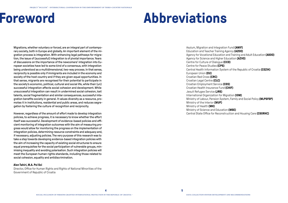# **Foreword Abbreviations**

Migrations, whether voluntary or forced, are an integral part of contemporary society, both in Europe and globally. An important element of the migration process is integration. With enhancing legal pathways for migration, the issue of (successful) integration is of pivotal importance. Years of discussions on the importance of the newcomers' integration into European societies have led to some kind of a consensus, with integration being understood as a multidimensional, two-way process. In that sense, reciprocity is possible only if immigrants are included in the economy and society of the host country and if they are given equal opportunities. In that sense, migrants are recognised for their potential to participate in the society's economic, political, cultural and social life, while their (un) successful integration affects social cohesion and development. While unsuccessful integration can result in undermined social cohesion, lost talents, social fragmentation and similar consequences, successful integration benefits society in general. It values diversity as a resource, promotes it in institutions, residential and public areas, and reduces segregation by fostering the culture of recognition and reciprocity.

However, regardless of the amount of effort made to develop integration policies, to achieve progress, it is necessary to know whether the effort itself was successful. Development of evidence-based policies and efficient monitoring of integration outcomes with the aim of measuring progress would allow for monitoring the progress on the implementation of integration policies, determining resource constraints and adequacy and, if necessary, adjusting policies. The very purpose of this research was to take a step towards developing evidence-based integration policies with the aim of increasing the capacity of existing social structures to ensure equal prerequisites for the social participation of vulnerable groups, minimising inequality and avoiding polarisation. Such integration policies will meet the European human rights standards, including those related to social cohesion, equality and antidiscrimination.

#### **Alen Tahiri, M.A. Pol Sci**

Director, Office for Human Rights and Rights of National Minorities of the Government of Republic of Croatia

Asylum, Migration and Integration Fund **(AMIF)**  Education and Teacher Training Agency **(AZOO)** Agency for Vocational Education and Training and Adult Education **(ASOO)** Agency for Science and Higher Education **(AZVO)** Centre for Culture of Dialogue **(CCD)** Centre for Peace Studies **(CPS)** Central Health Information System of the Republic of Croatia **(CEZIH)**  European Union **(EU)** Croatian Red Cross **(CRC)** Croatian Legal Centre **(CLC)** Croatian Employment Service **(CES)** Croatian Health Insurance Fund **(CHIF)** Jesuit Refugee Service **(JRS)** International Organization for Migration **(IOM)** Ministry of Labour, Pension System, Family and Social Policy **(MLPSFSP)** Ministry of the Interior **(MUP)** Ministry of Health **(MH)** Ministry of Science and Education **(MSE)** Central State Office for Reconstruction and Housing Care **(CSORHC)**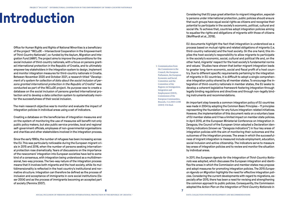Office for Human Rights and Rights of National Minorities is a beneficiary of the project "INCLuDE – Intersectoral Cooperation in the Empowerment of Third-Country Nationals", co-funded by the Asylum, Migration and Integration Fund (AMIF). The project aims to improve the preconditions for the social inclusion of third-country nationals, with a focus on persons granted international protection in the Republic of Croatia, and to ultimately empower key stakeholders in the integration system to design, implement and monitor integration measures for third-country nationals in Croatia. Between November 2020 and October 2021, a research titled "*Development of a system for collection of data about the social inclusion of persons granted international protection in the Republic of Croatia*" was conducted as part of the INCLuDE project. Its purpose was to create a database on the social inclusion of persons granted international protection and to develop a data collection system to systematically monitor the successfulness of their social inclusion.

The main research objective was to monitor and evaluate the impact of integration policies in individual areas using a set of indicators.

Creating a database on the beneficiaries of integration measures and on the system of monitoring the use of measures will benefit not only public policy makers, but also public service provides, local and regional self-government officials, employees of non-governmental organisations and charities and other stakeholders involved in the integration process.

Since the early 1990s, the number of refugees has been increasing across the EU. This was particularly noticeable during the European migrant crisis in 2015 and 2016, when the number of persons seeking international protection rose dramatically. Years of discussions on the importance of the newcomers' integration into European societies have led to some kind of a consensus, with integration being understood as a multidimensional, two-way process. The two-way nature of the integration process means that it involves both migrants and the host society, while its multidimensionality is reflected in the host country's institutional and normative structure. Integration can therefore be defined as the process of inclusion and acceptance of immigrants in core social institutions (Esser 2004) and as the process of immigrants becoming an accepted part of society (Penninx 2007).

1 Communication from the Commission to the Council, the European Parliament, the European Economic and Social Committee and the Committee of the Regions on Immigration, Integration and Employment (2003), Commission of the European Communities, Brussels, 3.6.2003 COM (2003) 336 final.

**INTERNAL CONSIDERS IN A FORMAL CONSIDER**<br>International protection, public policies should ensure<br>that such groups have grups have grups have grups have grups have grups and reconsist their ly persons under international protection, public policies should ensure that such groups have equal social rights as citizens and recognise their potential to participate in the society's economic, political, cultural and social life. To achieve that, countries adopt integration policies aiming to equalise the rights and obligations of migrants with those of citizens (Wolffhardt et al., 2019).

> EU documents highlight the fact that integration is understood as a process based on mutual rights and related obligations of migrants (i.e. third-country nationals) and the host society. On the one hand, this implies the host society's responsibility to allow migrants to participate in the society's economic, social, cultural and political life and, on the other hand, migrants' respect for the host society's fundamental norms and values.1 Studies have shown that better migrant integration leads to greater long-term economic, social and fiscal profit of a host country. Due to different specific requirements pertaining to the integration of migrants in EU countries, it is difficult to adopt a single comprehensive integration policy shared by all member states. To encourage the integration of third-country nationals in member states, the EU seeks to develop a coherent legislative framework fostering integration through legally binding regulations and directives and through non-legally binding instruments and recommendations.

> An important step towards a common integration policy of EU countries was made in 2004 by adopting the Common Basic Principles – 11 principles representing the foundation for any future integration-related initiatives. However, the implementation of this document rests on a voluntary base of EU member states and it has a limited impact on member state policies. In April 2010, at the European Ministerial Conference on Integration in Zaragoza, the Council of the European Union adopted a Declaration identifying indicators (known as "Zaragoza indicators") in four key areas of integration policies with the aim of monitoring their outcomes and the outcomes of the integration process. The areas in which the successfulness of migrant integration is measured include employment, education, social inclusion and active citizenship. The indicators serve to measure key areas of integration policies and to review and monitor the situation by individual areas.

> In 2011, the *European Agenda for the Integration of Third-Country Nationals* was adopted, which discusses the European integration and identifies the areas in which the Commission and member states may propose and adopt measures for promoting integration policies. The 2015 *European Agenda on Migration* highlights the need for effective integration policies. Considering the current developments with regard to migrations, especially after 2015, there has been a need for revising and strengthening the common approach to public policies. Consequently, the Commission adopted the *Action Plan on the Integration of Third-Country Nationals* in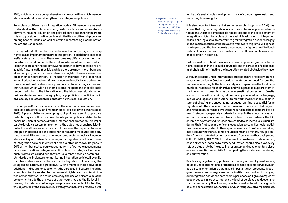2016, which provides a comprehensive framework within which member states can develop and strengthen their integration policies.

Regardless of differences in integration models, EU member states seek to standardise the policies ensuring lawful residence and access to employment, housing, education and political participation for immigrants. It is also possible to notice certain similarities in citizenship policies among host countries, as well as efforts in combating discrimination, racism and xenophobia.

The majority of EU member states believe that acquiring citizenship rights is also important for migrant integration, in addition to access to welfare state institutions. There are some key differences among host countries when it comes to the implementation of measures and policies for exercising those rights. Some countries have restrictive citizenship (naturalisation) policies, while others are much more liberal and allow many migrants to acquire citizenship rights. There is a consensus on economic incorporation, i.e. inclusion of migrants in the labour market and education system. Migrants' economic activity and education (professional qualifications) are prerequisites for ensuring income and instruments which will help them become independent of public assistance. In addition to the integration into the labour market, integration policies also focus on encouraging language proficiency, participation in civil society and establishing contact with the local population.

The European Commission advocates the adoption of evidence-based policies both at the EU and member state level (Baldwin-Edwards et al., 2018). A prerequisite for developing such policies is setting up a data collection system. When it comes to integration policies related to the social inclusion of persons granted international protection, it is important to develop a system for monitoring the outcomes of such policies in order to see if they are effective or not. However, the implementation of integration policies and the efficiency of resulting measures and activities in most EU countries are not monitored systematically. All member states lack quantitative data on migrant integration and the outcome of integration policies in different areas is often unknown. Only about 50% of member states carry out some form of periodic assessments or reviews of national integration action plans or strategies. Even when such reviews are carried out, they are usually not based on common EU standards and indicators for monitoring integration policies. Eleven EU member states measure the results of integration policies using the Zaragoza indicators, as agreed in 2010. Nine member states developed additional indicators to supplement the Zaragoza indicators, including examples directly related to fundamental rights, such as discrimination or victimisation. To ensure efficiency, the use of indicators must be complementary to the analyses of other countries and the EU level. Improving the outcomes of integration policies is important for fulfilling the objectives of the Europe 2020 strategy for inclusive growth, as well

2 Together in the EU – Promoting the participation of migrants and their descendants, 2017, FRA European Union Agency for Fundamental Rights.

as the UN's sustainable development goals of combating exclusion and promoting human rights.<sup>2</sup>

It is also important to note that some research (Koopmans, 2010) has shown that migrant integration indicators which can be presented as integration outcomes sometimes do not correspond to the development of integration policies. Regardless of the level of development of integration policies and legislative framework, migrant integration depends largely on the implementation of the legislative framework, migrants' willingness to integrate and the host society's openness to migrants. Institutionalisation of policy frameworks often leads to insufficient implementation or application in practice.

Collection of data about the social inclusion of persons granted international protection in the Republic of Croatia and the creation of a database might help with eliminating the integration-related obstacles they face.

Although persons under international protection are provided with necessary protection in Croatia, besides the aforementioned factors, the process of adapting to the host society also depends on the local communities' readiness for their arrival and willingness to support them in the integration process. Persons under international protection in Croatia are confronted with many integration challenges related to the language, culture and legal and institutional framework. Institutional support in terms of allowing and encouraging language learning is essential for integration into the education system. Research has shown that migrant and refugee students achieve worse results in school compared to domestic students, especially students included in the education system as mature minors. In some countries (Finland, the Netherlands, the UK), children of newly arrived refugees are entitled to an individual curriculum during their first year in the formal education system. Curricular activities have been adjusted to their specific needs and profile, even taking into account whether students are unaccompanied minors, refugee children from war-affected countries or come from some other background (UNHCR, UNICEF, IOM, 2019). In that sense, the Croatian education system, especially when it comes to primary education, should also allow every refugee student to be included in preparatory and supplementary classes as an essential prerequisite for completing the syllabus and achieving social integration.

Besides language learning, professional training and employment service, persons under international protection also need specific services, such as a cultural orientation program. It is important that representatives of governmental and non-governmental institutions involved in carrying out integration activities share their experiences and give examples of good practices in order to improve the level of services and deepen mutual understanding. Shortcomings can be remedied by introducing feedback and consultation mechanisms in which refugees actively participate.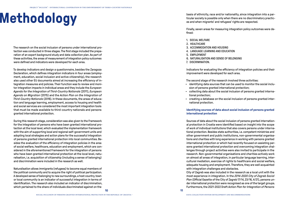## **Methodology**

The research on the social inclusion of persons under international protection was conducted in three stages. The first stage included the preparation of an expert background study and data collection plan. As part of these activities, the areas of measurement of integration policy outcomes were defined and indicators were developed for each area.

To develop indicators and design a questionnaire, besides the Zaragoza Declaration, which defines integration indicators in four areas (employment, education, social inclusion and active citizenship), the research also used other EU documents aimed at increasing the efficiency of integration measures and policies. Their function was to review and monitor integration impacts in individual areas and they include the *European Agenda for the Integration of Third-Country Nationals* (2011), *European Agenda on Migration* (2015) and the *Action Plan on the Integration of Third-Country Nationals* (2016). In these documents, the areas of education and language learning, employment, access to housing and health and social services are considered the most important integration tools that must be made available to third-country nationals and persons granted international protection.

During this research stage, consideration was also given to the Framework for the integration of persons who have been granted international protection at the local level, which evaluated the implementation framework with the aim of supporting local and regional self-government units and adopting local strategies and action plans for the successful integration of persons granted international protection into local communities. Besides the evaluation of the efficiency of integration policies in the area of social welfare, healthcare, education and employment, which are considered in the aforementioned Framework for the integration of persons who have been granted international protection at the local level, naturalisation, i.e. acquisition of citizenship (including a sense of belonging) and discrimination were included in the research as well.

Naturalisation allows immigrants (refugees) to become equal members of the political community and to acquire the right of political participation. A developed sense of belonging to new surroundings, a host country, town or local community is an indicator of successful integration in terms of identification. The research also included an indicator of discrimination, which pertained to the share of individuals discriminated against on the

basis of ethnicity, race and/or nationality, since integration into a particular society is possible only when there are no discriminatory practices and when migrants' and refugees' rights are respected.

Finally, seven areas for measuring integration policy outcomes were defined:

- 1. SOCIAL WELFARE
- 2. HEALTHCARE
- 3. ACCOMMODATION AND HOUSING
- 4. LANGUAGE LEARNING AND EDUCATION
- 5. EMPLOYMENT
- 6. NATURALISATION AND SENSE OF BELONGING
- 7. DISCRIMINATION.

Indicators for evaluating the efficiency of integration policies and their improvement were developed for each area.

The second stage of the research involved three activities:

- identifying data sources that can be used to monitor the social inclusion of persons granted international protection;
- collecting data about the social inclusion of persons granted international protection;
- creating a database on the social inclusion of persons granted international protection.

#### **Identifying sources of data about social inclusion of persons granted international protection**

Sources of data about the social inclusion of persons granted international protection in Croatia were identified based on insight into the scope of work of individual institutions that also covers persons under international protection. Besides state authorities, i.e. competent ministries and other government and public institutions, non-governmental organisations and charities with long experience in working with persons granted international protection or which had recently focused on assisting persons granted international protection and overcoming integration challenges through project activities were also invited to participate in the research. Non-governmental organisations and charities actively work on almost all areas of integration, in particular language learning, intercultural mediation, exercise of rights to healthcare and social welfare, adequate housing and employment. Therefore, they are well acquainted with integration challenges and obstacles.

City of Zagreb was also included in the research as a local unit with the most experience in integration. In the *2014-2020 City of Zagreb Social Plan* (Official Gazette of the City of Zagreb 17/14, 23/16, 4/21), persons under international protection were recognised as one of the target groups. Furthermore, the 2021-2022 Draft *Action Plan for Integration of Persons*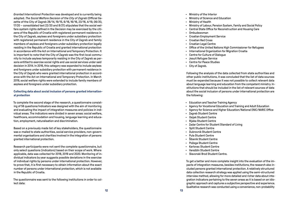*Granted International Protection* was developed and is currently being adopted. *The Social Welfare Decision of the City of Zagreb* (Official Ga zette of the City of Zagreb 26/14, 19/15, 6/16, 16/16, 23/16, 4/19, 06/20, 17/20 – consolidated text 22/20 and 8/21) stipulates that the social wel fare system rights defined in the Decision may be exercised by the citi zens of the Republic of Croatia with registered permanent residence in the City of Zagreb, asylees and foreigners under subsidiary protection with registered permanent residence in the City of Zagreb and family members of asylees and foreigners under subsidiary protection legally residing in the Republic of Croatia and granted international protection in accordance with the Act on International and Temporary Protection. It is important to note that the City of Zagreb was the first local commu nity to include asylees temporarily residing in the City of Zagreb as per sons entitled to exercise social rights and use social services under said decision in 2014. In 2016, this category was expanded to include asylees and foreigners under subsidiary protection with permanent residence in the City of Zagreb who were granted international protection in accord ance with the Act on International and Temporary Protection. In March 2019, social welfare rights were extended to include family members of asylees and foreigners under subsidiary protection.

#### **Collecting data about social inclusion of persons granted internation al protection**

To complete the second stage of the research, a questionnaire consist ing of 56 questions/indicators was designed with the aim of monitoring and evaluating the impact of integration measures and policies in indi vidual areas. The indicators were divided in seven areas: social welfare, healthcare, accommodation and housing, language learning and educa tion, employment, naturalisation and discrimination.

Based on a previously made list of key stakeholders, the questionnaire was e-mailed to state authorities, social service providers, non-govern mental organisations and charities involved in the integration of persons granted international protection.

Research participants were not sent the complete questionnaire, but only select questions (indicators) based on their scope of work. Where applicable, data was collected for 2018, 2019 and 2020. Monitoring of in dividual indicators by year suggests possible deviations in the exercise of individual rights by persons under international protection. However, to prove that, it is first necessary to obtain information about the exact number of persons under international protection, which is not available in the Republic of Croatia.

The questionnaire was sent to the following institutions in order to col lect data:

- 
- 
- 
- Ministry of the Interior<br>• Ministry of Science and Education<br>• Ministry of Health<br>• Ministry of Labour, Pension System, Family and Social Policy<br>• Central State Office for Reconstruction and Housing Care<br>• Ombudswoman
- 
- 
- 
- 
- 
- Croatian Employment Service<br>- Croatian Red Cross<br>- Croatian Legal Centre<br>- Office of the United Nations High Commissioner for Refugees<br>- International Organization for Migration Croatia<br>- Centre for Culture of Dialogue<br>-
- 
- 
- 
- 
- 

Following the analysis of the data collected from state authorities and other public institutions, it was concluded that the list of data sources must be expanded because it was not possible to collect relevant data about language learning and education from the competent ministry. In stitutions that should be included in the list of relevant sources of data about the social inclusion of persons under international protection are the following:

- Education and Teacher Training Agency
- Agency for Vocational Education and Training and Adult Education
- Agency for Science and Higher Education/National ENIC/NARIC Office
- Zagreb Student Centre
- Osijek Student Centre
- Rijeka Student Centre
- Zadar Centre for Student Standard of Living
- Split Student Centre
- Dubrovnik Student Centre
- Pula Student Centre
- Šibenik Student Centre
- Požega Student Centre
- Karlovac Student Centre
- Varaždin Student Centre
- Slavonski Brod Student Centre.

To get a better and more complete insight into the evaluation of the im pacts of integration measures, besides institutions, the research also in cluded persons granted international protection. A relatively structured data collection research strategy was applied using the semi-structured interview method, allowing for more detailed and richer data about inte gration indicators pertaining to the seven areas as it is based on an idio graphic approach and captures a subjective perspective and experience. Qualitative research was conducted using a convenience, non-probability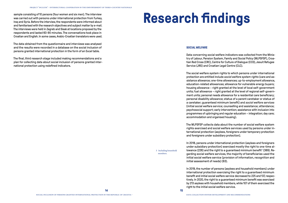sample consisting of 10 persons (four women and six men). The interview was carried out with persons under international protection from Turkey, Iraq and Syria. Before the interview, the respondents were informed about and familiarised with the research objectives and subject matter by e-mail. The interviews were held in Zagreb and Sisak at locations proposed by the respondents and lasted 60-90 minutes. The conversations took place in Croatian and English. In some cases, Arabic-Croatian translators were used.

The data obtained from the questionnaire and interviews was analysed and the results were recorded in a database on the social inclusion of persons granted international protection in the form of an Excel table.

The final, third research stage included making recommendations and a plan for collecting data about social inclusion of persons granted international protection using redefined indicators.

## **Research findings**

#### **SOCIAL WELFARE**

Data concerning social welfare indicators was collected from the Ministry of Labour, Pension System, Family and Social Policy (MLPSFSP), Croatian Red Cross (CRC), Centre for Culture of Dialogue (CCD), Jesuit Refugee Service (JRS) and Croatian Legal Centre (CLC).

The social welfare system rights to which persons under international protection are entitled include *social welfare system rights* (care and assistance allowance; one-time allowances; up-to-employment allowance, education-related allowances; allowance for vulnerable energy buyers; housing allowance – right granted at the level of local self-government units; fuel allowance – right granted at the level of regional self-government units; personal needs allowance for a residential care beneficiary; personal disability allowance; status of a parent caretaker or status of a caretaker; guaranteed minimum benefit) and *social welfare services*  (initial social welfare service; counselling and assistance; attendance; psychosocial support; early intervention; assistance with inclusion into programmes of upbringing and regular education – integration; day care; accommodation and organised housing).

The MLPSFSP collects data about the number of social welfare system rights exercised and social welfare services used by persons under international protection (asylees, foreigners under temporary protection and foreigners under subsidiary protection).

In 2018, persons under international protection (asylees and foreigners under subsidiary protection) exercised mostly the right to one-time allowance (226) and the right to a guaranteed minimum benefit<sup>3</sup> (389). Regarding social welfare services, the majority of beneficiaries used the initial social welfare service (provision of information, recognition and initial assessment of needs) (63).

In 2019, the number of persons (asylees and household members) under international protection exercising the right to a guaranteed minimum benefit and initial social welfare service decreased to 225 and 137, respectively. In 2020, the right to a guaranteed minimum benefit was exercised by 213 asylees with household members, while 107 of them exercised the right to the initial social welfare service.

3 Including household members.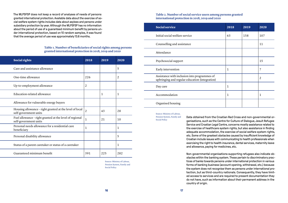The MLPSFSP does not keep a record of analyses of needs of persons granted international protection. Available data about the exercise of social welfare system rights includes data about asylees and persons under subsidiary protection by year. Although the MLPSFSP has no information about the period of use of a guaranteed minimum benefit by persons under international protection, based on 10 random samples, it was found that the average period of use was approximately 13.6 months.

#### **Table 1. Number of beneficiaries of social rights among persons granted international protection in 2018, 2019 and 2020**

| Social rights                                                                    | 2018           | 2019 | 2020           |
|----------------------------------------------------------------------------------|----------------|------|----------------|
| Care and assistance allowance                                                    |                |      | 5              |
| One-time allowance                                                               | 226            |      | $\overline{2}$ |
| Up-to-employment allowance                                                       | $\overline{2}$ |      |                |
| Education-related allowance                                                      |                | 1    | $\mathbf{1}$   |
| Allowance for vulnerable energy buyers                                           |                |      |                |
| Housing allowance - right granted at the level of local<br>self-government units | $\overline{2}$ | 43   | 28             |
| Fuel allowance - right granted at the level of regional<br>self-government units | $\mathbf{1}$   | 21   | 10             |
| Personal needs allowance for a residential care<br>beneficiary                   | 1              |      | 1              |
| Personal disability allowance                                                    |                |      | 5              |
| Status of a parent caretaker or status of a caretaker                            |                |      | 1              |
| Guaranteed minimum benefit                                                       | 391            | 225  | 282            |

Source: Ministry of Labour, Pension System, Family and Social Policy

#### **Table 2. Number of social service users among persons granted international protection in 2018, 2019 and 2020**

| <b>Social service</b>                                                                          | 2018         | 2019 | 2020           |
|------------------------------------------------------------------------------------------------|--------------|------|----------------|
| Initial social welfare service                                                                 | 63           | 158  | 107            |
| Counselling and assistance                                                                     |              |      | 11             |
| Attendance                                                                                     |              |      |                |
| Psychosocial support                                                                           |              |      | 15             |
| Early intervention                                                                             | 1            |      | 7              |
| Assistance with inclusion into programmes of<br>upbringing and regular education (integration) |              |      | $\overline{2}$ |
| Day care                                                                                       | $\mathbf{1}$ |      |                |
| Accommodation                                                                                  | 1            |      | $\mathbf{1}$   |
| Organised housing                                                                              |              |      |                |

Source: Ministry of Labour,

Pension System, Family and Social Policy

Data obtained from the Croatian Red Cross and non-governmental organisations, such as the Centre for Culture of Dialogue, Jesuit Refugee Service and Croatian Legal Centre, concerns mostly assistance related to the exercise of healthcare system rights, but also assistance in finding adequate accommodation, the exercise of social welfare system rights, etc. Some of the greatest obstacles caused by insufficient knowledge of Croatian include issues with communicating to health professionals when exercising the right to health insurance, dental services, maternity leave and allowance, paying for medicines, etc.

Non-governmental organisations supporting refugees also indicate obstacles within the banking system. These pertain to discriminatory practices of banks towards persons under international protection in various forms of banking business (account opening, withdrawal, etc.) because the system does not recognise them as persons under international protection, but as third-country nationals. Consequently, they have limited access to services and are required to present documentation they do not have, such as information about their permanent address in the country of origin.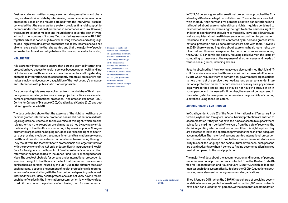Besides state authorities, non-governmental organisations and charities, we also obtained data by interviewing persons under international protection. Based on the results obtained from the interviews, it can be concluded that the social welfare system provides financial support to persons under international protection in accordance with law. However, that support is rather modest and insufficient to cover the cost of living without other sources of income. Two married asylees receive HRK 960<sup>4</sup> together, which is not enough to cover all living expenses and a language course (high level). One asylee stated that due to low income she was not able to have a social life that she wanted and that the majority of people in Croatia had (she does not go to bars, the movies, concerts, trips, etc.).

#### **HEALTHCARE**

It is extremely important to ensure that persons granted international protection have access to health services because poor health and inability to access health services can be a fundamental and longstanding obstacle to integration, which consequently affects all areas of life and makes employment, education, acquisition of the host country's language and interaction with public institutions impossible.

Data concerning this area was collected from the Ministry of Health and non-governmental organisations whose project activities were aimed at persons granted international protection – the Croatian Red Cross (CRC), Centre for Culture of Dialogue (CCD), Croatian Legal Centre (CLC) and Jesuit Refugee Service (JRS).

The data collected shows that the exercise of the right to healthcare by persons granted international protection does is still not harmonised with legal regulations. Obstacles to the exercise of this right, which are the rule rather than the exception, are eliminated ad hoc by paying a visit to the Ministry of Health office or contacting it by e-mail or phone. Non-governmental organisations helping refugees exercise the right to healthcare by providing mediation, accompaniment and translation services at health facilities also indicate certain obstacles to exercising this right. They result from the fact that health professionals are largely unfamiliar with the provisions of the Act on Mandatory Health Insurance and Health Care for Foreigners in the Republic of Croatia, so beneficiaries are often referred to the Croatian Health Insurance Fund (CHIF) or charged for services. The greatest obstacle for persons under international protection to exercise the right to healthcare is the fact that the system does not recognise them as persons insured by the CHIF. Due to the different status of such persons, a special engagement of health professionals is required in terms of administration, with the final outcome depending on how well informed they are. Many health professionals do not know how to record such beneficiaries in the information system, which is why they refuse to admit them under the pretence of not having room for new patients.

4 Pursuant to the Social Welfare Act, the amount of a guaranteed minimum benefit is determined as a prescribed percentage of the base amount defined by a decision of the Government of the Republic of Croatia. Based on the aforementioned, in 2021, the guaranteed minimum benefit amounted to HRK 480 per household member.

In 2019, 36 persons granted international protection approached the Croatian Legal Centre at a legal consultation and 61 consultations were held with them during the year. Five persons at seven consultations in total inquired about exercising healthcare rights. Inquiries pertained to payment of medicines, exercising the right to dental services, right of children to cochlear implants, right to maternity leave and allowance, as well as inquiries about health insurance as a condition for permanent residence. In 2020, the CLC was contacted by 32 persons granted international protection and 64 consultations were held with them. However, in 2020, there were no inquiries about exercising healthcare rights until early June. This can be explained by the circumstances surrounding the COVID-19 pandemic and society focusing exclusively on the issue of combating coronavirus at the expense of all other issues and needs of various social groups, including asylees.

Results obtained by interviewing asylees also confirmed that it is difficult for asylees to receive health services without an insured's ID number (MBO), which requires them to contact non-governmental organisations to help them get the service they need. As long as persons under international protection *de facto* cannot choose a primary care physician as legally prescribed and as long as they do not have the status of an insured person and the insured's ID number, they cannot be registered in the system, which consequently compromises the possibility of creating a database using these indicators.

#### **ACCOMMODATION AND HOUSING**

In Croatia, under Article 67 of the Act on International and Temporary Protection, asylees and foreigners under subsidiary protection are entitled to accommodation if they do not have the funds or assets to support themselves for a maximum period of two years from the date of receiving the decision granting international protection. After this right expires, they are expected to leave the apartment provided to them and find adequate accommodation. The majority of persons granted international protection find this extremely stressful. Due to their modest financial status, inability to speak the language and sociocultural differences, such persons are at a disadvantage when it comes to finding accommodation in a free market compared to the local population.

The majority of data about the accommodation and housing of persons under international protection was collected from the Central State Office for Reconstruction and Housing Care (CSORHC), which collect and monitor such data systematically. Besides the CSORHC, questions about housing were also sent to non-governmental organisations.

5 Data as at 2 September 2021.

Since 1 January 2018, when the CSORHC took charge of providing accommodation to persons granted international protection, 321 lease contracts have been concluded for 751 persons. At the moment<sup>5</sup>, accommodation

**18 19**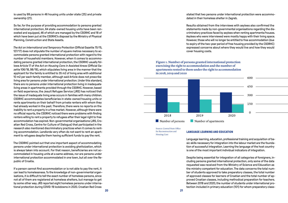is used by 99 persons in 46 housing units under state (25) and private ownership (21).

So far, for the purpose of providing accommodation to persons granted international protection, 64 state-owned housing units have been renovated and equipped, 46 of which are managed by the CSORHC and 18 of which have been put at the CSORHC's disposal by the Ministry of Physical Planning, Construction and State Assets.

*The Act on International and Temporary Protection* (Official Gazette 70/15, 127/17) does not stipulate the number of square metres necessary to accommodate persons granted international protection with regard to the number of household members. However, when it comes to accommodating persons granted international protection, the CSORHC usually follows Article 17 of *the Act on Housing Care in Assisted Areas* (Official Gazette 106/18, 98/19), which stipulates living area in the manner that the applicant for the family is entitled to 35 m2 of living area with additional 10 m2 per each family member, although said Article does not prescribe living area for persons under international protection. Under this standard, there are no persons under international protection living in inadequate living areas in apartments provided through the CSORHC. However, based on field experience, the Jesuit Refugee Service (JRS) has noticed that the issue of inadequate living area occurs in families with many children. CSORHC accommodates beneficiaries in state-owned housing units or rents apartments on their behalf from private renters with whom they had already worked in the past. Therefore, there were no reports on the inability to rent a property in a free market. However, although there were no official reports, the CSORHC noticed there were problems with finding renters willing to rent a property to refugees after their legal right to free accommodation has expired. Non-governmental organisations (JRS, Croatian Red Cross, Centre for Culture of Dialogue) that participated in the research also mentioned discriminatory practices when it comes to renting accommodation. Landlords very often do not want to rent an apartment to refugees despite them having sufficient funds to pay the rent.

The CSORHC pointed out that one important aspect of accommodating persons under international protection is avoiding ghettoization, which is always taken into account. For that reason, beneficiaries are not accommodated in housing units at a same address, nor are persons under international protection accommodated in one town, but all over the Republic of Croatia.

If a person cannot find accommodation or is not able to pay the rent, it can lead to homelessness. To the knowledge of non-governmental organisations, it is difficult to tell the exact number of homeless persons, since not all of them are registered at homeless shelters, but manage to get by some other way. JRS reported eight homeless persons under international protection during COVID-19 lockdowns in 2020. Croatian Red Cross

stated that two persons under international protection were accommodated in their homeless shelter in Zagreb.

Results obtained from the interviews with asylees also confirmed the statements made by non-governmental organisations regarding the discriminatory practices faced by asylees when renting apartments/houses. Asylees who were interviewed were mostly happy with their living space. However, those who will no longer be entitled to free accommodation (due to expiry of the two-year period of free housing provided by the CSORHC) expressed concerns about where they would live and how they would cover housing costs.

**Figure 1. Number of persons granted international protection exercising the right to accommodation and the number of apartments rented to them under the right to accommodation in 2018, 2019 and 2020**



Source: Central State Office for Reconstruction and Housing Care

#### **LANGUAGE LEARNING AND EDUCATION**

Language learning, education, professional training and acquisition of basic skills necessary for integration into the labour market are the foundation of successful integration. Learning the language of the host country is one of the most important individual indicators of integration.

Despite being essential for integration of all categories of foreigners, including persons granted international protection, only some of the data requested was received from the Ministry of Science and Education as the ministry competent for education. The data concerns the total number of students approved to take preparatory classes, the total number of approved classes for learners of Croatian and the total number of approved Croatian classes, including methodical preparation for teachers. Between 2018 and 2020, the number of students under international protection included in primary education (101) for whom preparatory class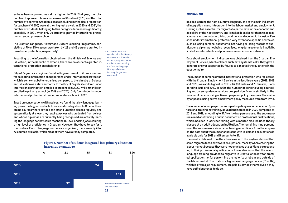es have been approved was at its highest in 2019. That year, the total number of approved classes for learners of Croatian (7,070) and the total number of approved Croatian classes including methodical preparation for teachers (10,605) were at their highest as well. In 2020 and 2021, the number of students belonging to this category decreased significantly, especially in 2021, when only 29 students granted international protection attended primary school.

The Croatian Language, History and Culture Learning Programme, consisting of 70 or 210 classes, was taken by 128 and 49 persons granted international protection, respectively<sup>6</sup>.

According to the information obtained from the Ministry of Science and Education, in the Republic of Croatia, there are no students granted international protection on scholarship.

City of Zagreb as a regional/local self-government unit has a system for collecting information about persons under international protection which is somewhat better organised compared to the Ministry of Science and Education as a state authority. In the City of Zagreb, 25 children under international protection enrolled in preschool in 2020, while 59 children enrolled in primary school (in 2019 and 2020). Only four students under international protection attended secondary school in 2020.

Based on conversations with asylees, we found that slow language learning poses the biggest obstacle to successful integration. In Croatia, there are no courses where asylees can attend Croatian classes regularly and systematically at a level they require. Asylees who graduated from college and whose diplomas are currently being recognised are actively learning the language so they could reach the B2 level and find jobs requiring a high level of proficiency in Croatian. However, they have to pay for it themselves. Even if language courses are organised, there are only A1 or A2 courses available, which most of them have already completed.



#### **Figure 2. Number of students integrated into primary education in 2018, 2019 and 2020**

#### 6 In its response to the questionnaire, the Ministry of Science and Education did not specify what period the data about attending the Croatian Language, History and Culture Learning Programme concerned.

#### **EMPLOYMENT**

Besides learning the host country's language, one of the main indicators of integration is also integration into the labour market and employment. Finding a job is essential for migrants to participate in the economic and social life of the host country and it makes it easier for them to access adequate accommodation, living conditions and economic inclusion. Persons under international protection very often face specific obstacles, such as losing personal documents, not having or losing records of qualifications, diplomas not being recognised, long-term economic inactivity, limited social contacts and poor involvement in social networks.

Data about employment indicators was obtained from the Croatian Employment Service, which collects such data systematically. They gave a concrete answer supported by figures to almost all the questions in the questionnaire.

The number of persons granted international protection who registered with the Croatian Employment Service in the last three years (2018, 2019 and 2020) was at its highest in 2019 – 172 (93 males and 79 females). Compared to 2018 and 2019, in 2020, the number of persons using counselling and career guidance services dropped significantly, similarly to the number of persons using active employment policy measures. The majority of people using active employment policy measures were from Syria.

The number of unemployed persons participating in adult education (professional training, retraining, education) increased in 2020 compared to 2018 and 2019, amounting to 31. Twenty-two persons used the sub-measure aimed at obtaining a public document on professional qualifications, which, besides in-service training with a mentor, also includes theory classes at an adult education institution. The remaining nine persons used the sub-measure aimed at obtaining a certificate from the employer. The data about the number of persons with in-demand occupations is available only for 2018 and it amounts to 31.

The results obtained from the interviews with the asylees showed that some migrants faced downward occupational mobility when entering the labour market because they were not employed at positions corresponding to their professional qualifications. It was also found that the level of language training provided to migrants in Croatia is too low for practical application, i.e. for performing the majority of jobs in and outside of the labour market. The costs of a higher level language course (B1 or B2), which is often a job requirement, are paid by asylees themselves if they have sufficient funds to do so.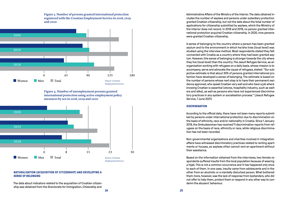**Figure 3. Number of persons granted international protection registered with the Croatian Employment Service in 2018, 2019 and 2020**



**Figure 4. Number of unemployment persons granted international protection using active employment policy measures by sex in 2018, 2019 and 2020**



#### **NATURALISATION (ACQUISITION OF CITIZENSHIP) AND DEVELOPING A SENSE OF BELONGING**

The data about indicators related to the acquisition of Croatian citizenship was obtained from the Directorate for Immigration, Citizenship and

Administrative Affairs of the Ministry of the Interior. The data obtained includes the number of asylees and persons under subsidiary protection granted Croatian citizenship, but not the data about the total number of applications for citizenship submitted by asylees, which the Ministry of the Interior does not record. In 2018 and 2019, no person granted international protection acquired Croatian citizenship. In 2020, nine persons were granted Croatian citizenship.

A sense of belonging to the country where a person has been granted asylum and to the environment in which he/she lives (local level) was studied using the interview method. Most respondents stated they felt connected with Croatia as a country where they had been granted asylum. However, this sense of belonging is stronger towards the city where they live (local level) than the country. The Jesuit Refugee Service, as an organisation working with refugees on a daily basis, whose mission is to accompany, serve and advocate the cause of refugees, stated: "Our subjective estimate is that about 30% of persons granted international protection have developed a sense of belonging. The estimate is based on the number of persons whose next step is to have their permanent residence approved, who speak Croatian very well and who have a job where knowing Croatian is essential (stores, hospitality industry, such as waiters and alike), as well as persons who have not experienced discriminatory practices in any system or socialisation process." (Jesuit Refugee Service, 7 June 2021)

#### **DISCRIMINATION**

According to the official data, there have not been many reports submitted by persons under international protection due to discrimination on the basis of ethnicity, race and/or nationality in Croatia. Since 1 January 2019, the Ombudswoman has received 11 discrimination reports from refugees on the basis of race, ethnicity or race, while religious discrimination has not been recorded.

Non-governmental organisations and charities involved in integration affairs have witnessed discriminatory practices related to renting apartments or houses, so asylees often cannot rent an apartment without their assistance.

Based on the information obtained from the interviews, two female respondents suffered insults from the local population because of wearing a hijab. This is not a common occurrence and it has happened only once to each of them. In one case, insults came from adolescents and in the other from an alcoholic or a mentally disturbed person. What bothered them more, however, was the lack of response from bystanders, who did not offer to help them, protect them or respond in any other way to condemn the abusers' behaviour.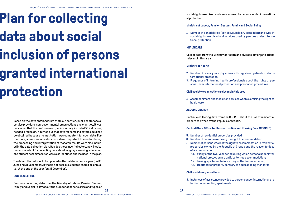# **Plan for collecting data about social inclusion of persons granted international protection**

Based on the data obtained from state authorities, public sector social service providers, non-governmental organisations and charities, it was concluded that the draft research, which initially included 56 indicators, needed a redesign. It turned out that data for some indicators could not be obtained because no institution was competent for such data. Furthermore, some new indicators considered important to monitor during the processing and interpretation of research results were also included in the data collection plan. Besides these new indicators, new institutions competent for collecting data about language learning, education and student accommodation were also identified and included in the plan.

The data collected should be updated in the database twice a year (on 30 June and 31 December). If that is not possible, updates should be annual, i.e. at the end of the year (on 31 December).

### **SOCIAL WELFARE**

Continue collecting data from the Ministry of Labour, Pension System, Family and Social Policy about the number of beneficiaries and types of

social rights exercised and services used by persons under international protection.

#### **Ministry of Labour, Pension System, Family and Social Policy**

1. Number of beneficiaries (asylees, subsidiary protection) and type of social rights exercised and services used by persons under international protection.

#### **HEALTHCARE**

Collect data from the Ministry of Health and civil society organisations relevant in this area.

### **Ministry of Health**

- 2. Number of primary care physicians with registered patients under international protection.
- 3. Frequency of informing health professionals about the rights of persons under international protection and prescribed procedures.

#### **Civil society organisations relevant in this area**

4. Accompaniment and mediation services when exercising the right to healthcare

### **ACCOMMODATION**

Continue collecting data from the CSORHC about the use of residential properties owned by the Republic of Croatia.

### **Central State Office for Reconstruction and Housing Care (CSORHC)**

- 5. Number of residential properties provided
- 6. Number of persons exercising the right to accommodation
- 7. Number of persons who lost the right to accommodation in residential properties owned by the Republic of Croatia and the reason for loss of accommodation
	- 7.1. expiry of the two-year period during which persons under international protection are entitled to free accommodation;
	- 7.2. leaving apartment before expiry of the two-year period;
	- 7.3. treatment of property contrary to housekeeping standards

### **Civil society organisations**

8. Instances of assistance provided to persons under international protection when renting apartments

**26 27**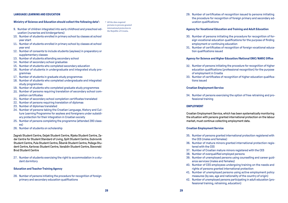#### **LANGUAGE LEARNING AND EDUCATION**

#### **Ministry of Science and Education should collect the following data7:**

9. Number of children integrated into early childhood and preschool education (nurseries and kindergartens)

- 10. Number of students enrolled in primary school by classes at school year start
- 11. Number of students enrolled in primary school by classes at school year end
- 12. Number of consents to include students (asylees) in preparatory or supplementary classes
- 13. Number of students attending secondary school
- 14. Number of secondary school graduates
- 15. Number of students who completed secondary education
- 16. Number of students in undergraduate and integrated study programmes
- 17. Number of students in graduate study programmes
- 18. Number of students who completed undergraduate and integrated study programmes
- 19. Number of students who completed graduate study programmes
- 20. Number of persons requiring translation of secondary school completion certificates
- 21. Number of secondary school completion certificates translated
- 22. Number of persons requiring translation of diplomas
- 23. Number of diplomas translated
- 24. Number of persons taking the Croatian Language, History and Culture Learning Programme for asylees and foreigners under subsidiary protection for their integration in Croatian society
- 25. Number of persons completing the programme (attended 280 classes)
- 26. Number of students on scholarship

Zagreb Student Centre, Osijek Student Centre, Rijeka Student Centre, Zadar Centre for Student Standard of Living, Split Student Centre, Dubrovnik Student Centre, Pula Student Centre, Šibenik Student Centre, Požega Student Centre, Karlovac Student Centre, Varaždin Student Centre, Slavonski Brod Student Centre

27. Number of students exercising the right to accommodation in a student dormitory

#### **Education and Teacher Training Agency**

28. Number of persons initiating the procedure for recognition of foreign primary and secondary education qualifications

7 All the data required pertains to persons granted international protection in the Republic of Croatia.

29. Number of certificates of recognition issued to persons initiating the procedure for recognition of foreign primary and secondary education qualifications

#### **Agency for Vocational Education and Training and Adult Education**

- 30. Number of persons initiating the procedure for recognition of foreign vocational education qualifications for the purpose of finding employment or continuing education
- 31. Number of certificates of recognition of foreign vocational education qualifications issued

#### **Agency for Science and Higher Education/National ENIC/NARIC Office**

- 32. Number of persons initiating the procedure for recognition of higher education qualifications (professional recognition) for the purpose of employment in Croatia
- 33. Number of certificates of recognition of higher education qualifications issued

#### **Croatian Employment Service**

34. Number of persons exercising the option of free retraining and professional training

#### **EMPLOYMENT**

Croatian Employment Service, which has been systematically monitoring the situation with persons granted international protection on the labour market, must continue collecting employment data.

#### **Croatian Employment Service**

- 35. Number of persons granted international protection registered with the CES (males and females)
- 36. Number of mature minors granted international protection registered with the CES
- 37. Number of Croatian mature minors registered with the CES
- 38. Number of overqualified employed persons
- 39. Number of unemployed persons using counselling and career guidance services (males and females)
- 40. Number of CES employees undergoing training on the needs and rights of persons granted international protection
- 41. Number of unemployed persons using active employment policy measures (by sex, age and nationality of the country of origin)
- 42. Number of unemployed persons participating in adult education (professional training, retraining, education)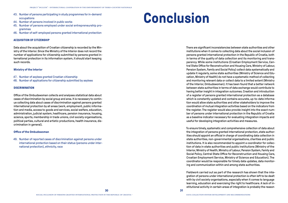- 43. Number of persons participating in study programmes for in-demand occupations
- 44. Number of persons involved in public works
- 45. Number of persons employed under social entrepreneurship programmes
- 46. Number of self-employed persons granted international protection

#### **ACQUISITION OF CITIZENSHIP**

Data about the acquisition of Croatian citizenship is recorded by the Ministry of the Interior. Since the Ministry of the Interior does not record the number of applications for citizenship submitted by persons granted international protection in its information system, it should start keeping such records.

#### **Ministry of the Interior**

- 47. Number of asylees granted Croatian citizenship
- 48. Number of applications for citizenship submitted by asylees

#### **DISCRIMINATION**

Office of the Ombudswoman collects and analyses statistical data about cases of discrimination by social group and area. It is necessary to continue collecting data about cases of discrimination against persons granted international protection by all areas (work, employment, public information and media, access to goods and services, social welfare, education, administration, judicial system, healthcare, pension insurance, housing, science, sports, membership in trade unions, civil society organisations, political parties, cultural and artistic productions, health insurance, discrimination in general).

#### **Office of the Ombudswoman**

49. Number of reported cases of discrimination against persons under international protection based on their status (persons under international protection), ethnicity, race

### **Conclusion**

There are significant inconsistencies between state authorities and other institutions when it comes to collecting data about the social inclusion of persons granted international protection in the Republic of Croatia, both in terms of the quality of data collection and its monitoring and transparency. While some institutions (Croatian Employment Service, Central State Office for Reconstruction and Housing Care, Ministry of Labour, Pension System, Family and Social Policy) collect data systematically and update it regularly, some state authorities (Ministry of Science and Education, Ministry of Health) do not have a systematic method of collecting and monitoring relevant data or collect data to a limited extent (Ministry of the Interior, Ombudswoman). It has been found that a better network between state authorities in terms of data exchange would contribute to having better insight in integration outcomes. Creation and introduction of a register of persons granted international protection as a database which is constantly updated and contains accurate, up-to-date information would allow state authorities and other stakeholders to improve the coordination of mutual integration activities based on the indicators from the register. The register would also provide insight into the exact number of persons under international protection in the Republic of Croatia as a baseline indicator necessary for evaluating integration impacts and useful for developing integration activities and measures.

To ensure timely, systematic and comprehensive collection of data about the integration of persons granted international protection, state authorities should appoint an official in charge of coordinating data collection in state authorities, non-governmental organisations, charities and public institutions. It is also recommended to appoint a coordinator for collection of data in state authorities and public institutions (Ministry of the Interior, Ministry of Health, Ministry of Labour, Pension System, Family and Social Policy, Central State Office for Reconstruction and Housing Care, Croatian Employment Service, Ministry of Science and Education). The coordinator would be responsible for timely data updates, data monitoring and communication within and among state authorities.

Fieldwork carried out as part of the research has shown that the integration of persons under international protection is often left to be dealt with by civil society organisations, especially when it comes to language learning, education and exercising the right to healthcare. A lack of institutional activity in certain areas of integration is probably the reason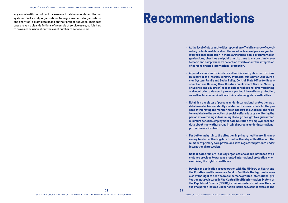why some institutions do not have relevant databases or data collection systems. Civil society organisations (non-governmental organisations and charities) collect data based on their project activities. Their databases have no clear definitions of a sample of service users, so it is hard to draw a conclusion about the exact number of service users.

### **Recommendations**

- **• At the level of state authorities, appoint an official in charge of coordinating collection of data about the social inclusion of persons granted international protection in state authorities, non-governmental organisations, charities and public institutions to ensure timely, systematic and comprehensive collection of data about the integration of persons granted international protection.**
- **• Appoint a coordinator in state authorities and public institutions (Ministry of the Interior, Ministry of Health, Ministry of Labour, Pension System, Family and Social Policy, Central State Office for Reconstruction and Housing Care, Croatian Employment Service, Ministry of Science and Education) responsible for collecting, timely updating and monitoring data about persons granted international protection, as well as for communication within and among state authorities.**
- **• Establish a register of persons under international protection as a database which is constantly updated with accurate data for the purpose of improving the monitoring of integration outcomes. The register would allow the collection of social welfare data by monitoring the period of exercising individual rights (e.g. the right to a guaranteed minimum benefit), employment data (duration of employment) and data about many other areas in which persons under international protection are involved.**
- **• For better insight into the situation in primary healthcare, it is necessary to start collecting data from the Ministry of Health about the number of primary care physicians with registered patients under international protection.**
- **• Collect data from civil society organisations about instances of assistance provided to persons granted international protection when exercising the right to healthcare.**
- **• Develop an application in cooperation with the Ministry of Health and the Croatian Health Insurance Fund to facilitate the legitimate exercise of the right to healthcare for persons granted international protection not registered in the Central Health Information System of the Republic of Croatia (CEZIH), i.e. persons who do not have the status of a person insured under health insurance, cannot exercise the**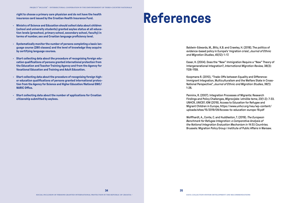**right to choose a primary care physician and do not have the health insurance card issued by the Croatian Health Insurance Fund.**

- **• Ministry of Science and Education should collect data about children (school and university students) granted asylee status at all education levels (preschool, primary school, secondary school, faculty) in terms of number, sex and Croatian language proficiency level.**
- **• Systematically monitor the number of persons completing a basic language course (280 classes) and the level of knowledge they acquire by certifying language courses.**
- **• Start collecting data about the procedure of recognising foreign education qualifications of persons granted international protection from the Education and Teacher Training Agency and from the Agency for Vocational Education and Training and Adult Education.**
- **• Start collecting data about the procedure of recognising foreign higher education qualifications of persons granted international protection from the Agency for Science and Higher Education/National ENIC/ NARIC Office.**
- **• Start collecting data about the number of applications for Croatian citizenship submitted by asylees.**

### **References**

Baldwin-Edwards, M., Blitz, K.B. and Crawley, H. (2018). The politics of evidence-based policy in Europe's 'migration crisis', *Journal of Ethnic and Migration Studies*, 45(12): 1–17.

Esser, H. (2004). Does the "New" Immigration Require a "New" Theory of Intergenerational Integration?, *International Migration Review,* 38(3): 1126-1159.

Koopmans R. (2010), "Trade-Offs between Equality and Difference: Immigrant Integration, Multiculturalism and the Welfare State in Cross-National Perspective", *Journal of Ethnic and Migration Studies*, 36(1): 1-26.

Penninx, R. (2007). Integration Processes of Migrants: Research Findings and Policy Challenges, *Migracijske i etničke teme*, 23(1-2): 7-33. UNHCR, UNICEF, IOM (2019). Access to Education for Refugee and Migrant Children in Europe, https://www.unhcr.org/neu/wp-content/ uploads/sites/15/2019/09/Access-to-education-europe-19.pdf

Wolffhardt, A., Conte, C. and Huddleston, T. (2019). *The European Benchmark for Refugee Integration: a Comparative Analysis of the National Integration Evaluation Mechanism in 14 EU Countries.* Brussels: Migration Policy Group i Institute of Public Affairs in Warsaw.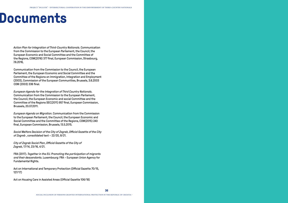### **Documents**

*Action Plan for Integration of Third-Country Nationals*. Communication from the Commission to the European Parliament, the Council, the European Economic and Social Committee and the Committee of the Regions, COM(2016) 377 final, European Commission, Strasbourg, 7.6.2016,

Communication from the Commission to the Council, the European Parliament, the European Economic and Social Committee and the Committee of the Regions on Immigration, Integration and Employment (2003), Commission of the European Communities, Brussels, 3.6.2003 COM (2003) 336 final.

*European Agenda for the Integration of Third Country Nationals*. Communication from the Commission to the European Parliament, the Council, the European Economic and social Committee and the Committee of the Regions SEC(2011) 957 final, European Commission, Brussels, 20.07.2011.

*European Agenda on Migration*. Communication from the Commission to the European Parliament, the Council, the European Economic and Social Committee and the Committee of the Regions, COM(2015) 240 final, European Commission, Brussels, 13.5.2015.

*Social Welfare Decision of the City of Zagreb*, *Official Gazette of the City of Zagreb* , consolidated text – 22/20, 8/21.

*City of Zagreb Social Plan*, *Official Gazette of the City of Zagreb*, 17/14, 23/16, 4/21.

FRA (2017). *Together in the EU. Promoting the participation of migrants and their descendants*. Luxembourg: FRA – European Union Agency for Fundamental Rights.

Act on International and Temporary Protection (Official Gazette 70/15, 127/17)

Act on Housing Care in Assisted Areas (Official Gazette 106/18)